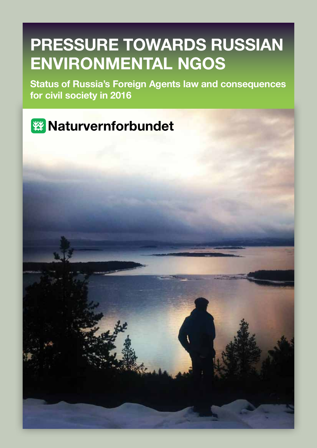# **Pressure towards Russian environmental NGOs**

**Status of Russia's Foreign Agents law and consequences for civil society in 2016**

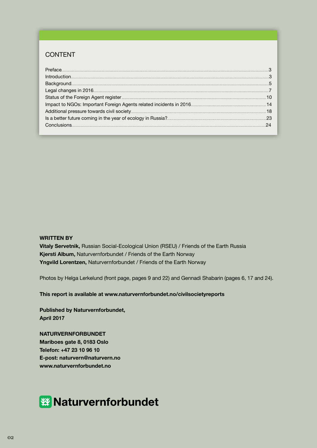#### CONTENT

| $\small \textsf{Introduction} \textcolor{red}{\textcolor{blue}{\textbf{in}}}\textcolor{red}{\textcolor{blue}{\textbf{in}}}\textcolor{red}{\textbf{in}}\textcolor{blue}{\textbf{in}}\textcolor{blue}{\textbf{in}}\textcolor{blue}{\textbf{in}}\textcolor{blue}{\textbf{in}}\textcolor{blue}{\textbf{in}}\textcolor{blue}{\textbf{in}}\textcolor{blue}{\textbf{in}}\textcolor{blue}{\textbf{in}}\textcolor{blue}{\textbf{in}}\textcolor{blue}{\textbf{in}}\textcolor{blue}{\textbf{in}}\textcolor{blue}{\textbf{in}}\textcolor{blue}{\textbf{in}}\textcolor{blue}{\text$ |  |
|------------------------------------------------------------------------------------------------------------------------------------------------------------------------------------------------------------------------------------------------------------------------------------------------------------------------------------------------------------------------------------------------------------------------------------------------------------------------------------------------------------------------------------------------------------------------|--|
|                                                                                                                                                                                                                                                                                                                                                                                                                                                                                                                                                                        |  |
|                                                                                                                                                                                                                                                                                                                                                                                                                                                                                                                                                                        |  |
|                                                                                                                                                                                                                                                                                                                                                                                                                                                                                                                                                                        |  |
|                                                                                                                                                                                                                                                                                                                                                                                                                                                                                                                                                                        |  |
|                                                                                                                                                                                                                                                                                                                                                                                                                                                                                                                                                                        |  |
|                                                                                                                                                                                                                                                                                                                                                                                                                                                                                                                                                                        |  |
|                                                                                                                                                                                                                                                                                                                                                                                                                                                                                                                                                                        |  |
|                                                                                                                                                                                                                                                                                                                                                                                                                                                                                                                                                                        |  |

#### **WRITTEN BY**

**Vitaly Servetnik,** Russian Social-Ecological Union (RSEU) / Friends of the Earth Russia **Kjersti Album,** Naturvernforbundet / Friends of the Earth Norway **Yngvild Lorentzen,** Naturvernforbundet / Friends of the Earth Norway

Photos by Helga Lerkelund (front page, pages 9 and 22) and Gennadi Shabarin (pages 6, 17 and 24).

**This report is available at www.naturvernforbundet.no/civilsocietyreports**

**Published by Naturvernforbundet, April 2017**

**NATURVERNFORBUNDET Mariboes gate 8, 0183 Oslo Telefon: +47 23 10 96 10 E-post: naturvern@naturvern.no www.naturvernforbundet.no**

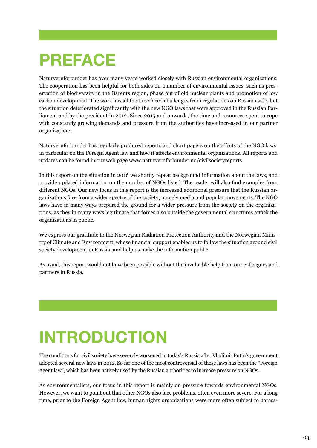### **PREFACE**

Naturvernforbundet has over many years worked closely with Russian environmental organizations. The cooperation has been helpful for both sides on a number of environmental issues, such as preservation of biodiversity in the Barents region, phase out of old nuclear plants and promotion of low carbon development. The work has all the time faced challenges from regulations on Russian side, but the situation deteriorated significantly with the new NGO laws that were approved in the Russian Parliament and by the president in 2012. Since 2015 and onwards, the time and resources spent to cope with constantly growing demands and pressure from the authorities have increased in our partner organizations.

Naturvernforbundet has regularly produced reports and short papers on the effects of the NGO laws, in particular on the Foreign Agent law and how it affects environmental organizations. All reports and updates can be found in our web page www.naturvernforbundet.no/civilsocietyreports

In this report on the situation in 2016 we shortly repeat background information about the laws, and provide updated information on the number of NGOs listed. The reader will also find examples from different NGOs. Our new focus in this report is the increased additional pressure that the Russian organizations face from a wider spectre of the society, namely media and popular movements. The NGO laws have in many ways prepared the ground for a wider pressure from the society on the organizations, as they in many ways legitimate that forces also outside the governmental structures attack the organizations in public.

We express our gratitude to the Norwegian Radiation Protection Authority and the Norwegian Ministry of Climate and Environment, whose financial support enables us to follow the situation around civil society development in Russia, and help us make the information public.

As usual, this report would not have been possible without the invaluable help from our colleagues and partners in Russia.

# **INTRODUCTION**

The conditions for civil society have severely worsened in today's Russia after Vladimir Putin's government adopted several new laws in 2012. So far one of the most controversial of these laws has been the "Foreign Agent law", which has been actively used by the Russian authorities to increase pressure on NGOs.

As environmentalists, our focus in this report is mainly on pressure towards environmental NGOs. However, we want to point out that other NGOs also face problems, often even more severe. For a long time, prior to the Foreign Agent law, human rights organizations were more often subject to harass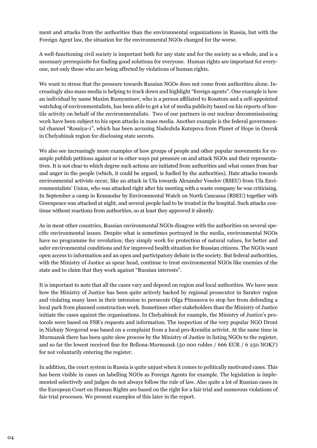ment and attacks from the authorities than the environmental organizations in Russia, but with the Foreign Agent law, the situation for the environmental NGOs changed for the worse.

A well-functioning civil society is important both for any state and for the society as a whole, and is a necessary prerequisite for finding good solutions for everyone. Human rights are important for everyone, not only those who are being affected by violations of human rights.

We want to stress that the pressure towards Russian NGOs does not come from authorities alone. Increasingly also mass media is helping to track down and highlight "foreign agents". One example is how an individual by name Maxim Rumyantsev, who is a person affiliated to Rosatom and a self-appointed watchdog of environmentalists, has been able to get a lot of media publicity based on his reports of hostile activity on behalf of the environmentalists. Two of our partners in our nuclear decommissioning work have been subject to his open attacks in mass media. Another example is the federal governmental channel "Rossiya-1", which has been accusing Nadezhda Kutepova from Planet of Hope in Ozersk in Chelyabinsk region for disclosing state secrets.

We also see increasingly more examples of how groups of people and other popular movements for example publish petitions against or in other ways put pressure on and attack NGOs and their representatives. It is not clear to which degree such actions are initiated from authorities and what comes from fear and anger in the people (which, it could be argued, is fuelled by the authorities). Hate attacks towards environmental activists occur, like an attack in Ufa towards Alexander Veselov (RSEU) from Ufa Environmentalists' Union, who was attacked right after his meeting with a waste company he was criticising. In September a camp in Krasnodar by Environmental Watch on North Caucasus (RSEU) together with Greenpeace was attacked at night, and several people had to be treated in the hospital. Such attacks continue without reactions from authorities, so at least they approved it silently.

As in most other countries, Russian environmental NGOs disagree with the authorities on several specific environmental issues. Despite what is sometimes portrayed in the media, environmental NGOs have no programme for revolution; they simply work for protection of natural values, for better and safer environmental conditions and for improved health situation for Russian citizens. The NGOs want open access to information and an open and participatory debate in the society. But federal authorities, with the Ministry of Justice as spear head, continue to treat environmental NGOs like enemies of the state and to claim that they work against "Russian interests".

It is important to note that all the cases vary and depend on region and local authorities. We have seen how the Ministry of Justice has been quite actively backed by regional prosecutor in Saratov region and violating many laws in their intension to persecute Olga Pitsunova to stop her from defending a local park from planned construction work. Sometimes other stakeholders than the Ministry of Justice initiate the cases against the organisations. In Chelyabinsk for example, the Ministry of Justice's protocols were based on FSB's requests and information. The inspection of the very popular NGO Dront in Nizhniy Novgorod was based on a complaint from a local pro-Kremlin activist. At the same time in Murmansk there has been quite slow process by the Ministry of Justice in listing NGOs to the register, and so far the lowest received fine for Bellona-Murmansk (50 000 rubles / 666 EUR / 6 250 NOK)<sup>1</sup>) for not voluntarily entering the register.

In addition, the court system in Russia is quite unjust when it comes to politically motivated cases. This has been visible in cases on labelling NGOs as Foreign Agents for example. The legislation is implemented selectively and judges do not always follow the rule of law. Also quite a lot of Russian cases in the European Court on Human Rights are based on the right for a fair trial and numerous violations of fair trial processes. We present examples of this later in the report.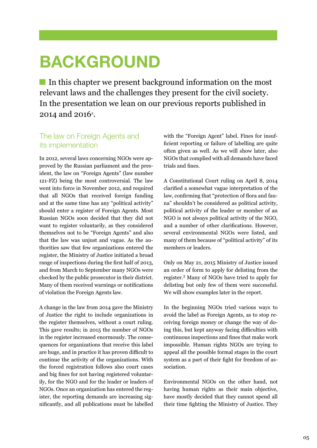### **BACKGROUND**

In this chapter we present background information on the most relevant laws and the challenges they present for the civil society. In the presentation we lean on our previous reports published in  $2014$  and  $2016$ <sup>2</sup>.

#### The law on Foreign Agents and its implementation

In 2012, several laws concerning NGOs were approved by the Russian parliament and the president, the law on "Foreign Agents" (law number 121-FZ) being the most controversial. The law went into force in November 2012, and required that all NGOs that received foreign funding and at the same time has any "political activity" should enter a register of Foreign Agents. Most Russian NGOs soon decided that they did not want to register voluntarily, as they considered themselves not to be "Foreign Agents" and also that the law was unjust and vague. As the authorities saw that few organizations entered the register, the Ministry of Justice initiated a broad range of inspections during the first half of 2013, and from March to September many NGOs were checked by the public prosecutor in their district. Many of them received warnings or notifications of violation the Foreign Agents law.

A change in the law from 2014 gave the Ministry of Justice the right to include organizations in the register themselves, without a court ruling. This gave results; in 2015 the number of NGOs in the register increased enormously. The consequences for organizations that receive this label are huge, and in practice it has proven difficult to continue the activity of the organizations. With the forced registration follows also court cases and big fines for not having registered voluntarily, for the NGO and for the leader or leaders of NGOs. Once an organization has entered the register, the reporting demands are increasing significantly, and all publications must be labelled

with the "Foreign Agent" label. Fines for insufficient reporting or failure of labelling are quite often given as well. As we will show later, also NGOs that complied with all demands have faced trials and fines.

A Constitutional Court ruling on April 8, 2014 clarified a somewhat vague interpretation of the law, confirming that "protection of flora and fauna" shouldn't be considered as political activity, political activity of the leader or member of an NGO is not always political activity of the NGO, and a number of other clarifications. However, several environmental NGOs were listed, and many of them because of "political activity" of its members or leaders.

Only on May 21, 2015 Ministry of Justice issued an order of form to apply for delisting from the register.<sup>3</sup> Many of NGOs have tried to apply for delisting but only few of them were successful. We will show examples later in the report.

In the beginning NGOs tried various ways to avoid the label as Foreign Agents, as to stop receiving foreign money or change the way of doing this, but kept anyway facing difficulties with continuous inspections and fines that make work impossible. Human rights NGOs are trying to appeal all the possible formal stages in the court system as a part of their fight for freedom of association.

Environmental NGOs on the other hand, not having human rights as their main objective, have mostly decided that they cannot spend all their time fighting the Ministry of Justice. They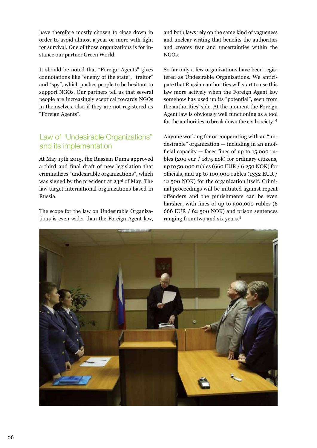have therefore mostly chosen to close down in order to avoid almost a year or more with fight for survival. One of those organizations is for instance our partner Green World.

It should be noted that "Foreign Agents" gives connotations like "enemy of the state", "traitor" and "spy", which pushes people to be hesitant to support NGOs. Our partners tell us that several people are increasingly sceptical towards NGOs in themselves, also if they are not registered as "Foreign Agents".

#### Law of "Undesirable Organizations" and its implementation

At May 19th 2015, the Russian Duma approved a third and final draft of new legislation that criminalizes "undesirable organizations", which was signed by the president at 23rd of May. The law target international organizations based in Russia.

The scope for the law on Undesirable Organizations is even wider than the Foreign Agent law, and both laws rely on the same kind of vagueness and unclear writing that benefits the authorities and creates fear and uncertainties within the NGOs.

So far only a few organizations have been registered as Undesirable Organizations. We anticipate that Russian authorities will start to use this law more actively when the Foreign Agent law somehow has used up its "potential", seen from the authorities' side. At the moment the Foreign Agent law is obviously well functioning as a tool for the authorities to break down the civil society. 4

Anyone working for or cooperating with an "undesirable" organization — including in an unofficial capacity  $-$  faces fines of up to 15,000 rubles (200 eur / 1875 nok) for ordinary citizens, up to 50,000 rubles (660 EUR / 6 250 NOK) for officials, and up to 100,000 rubles (1332 EUR / 12 500 NOK) for the organization itself. Criminal proceedings will be initiated against repeat offenders and the punishments can be even harsher, with fines of up to 500,000 rubles (6 666 EUR / 62 500 NOK) and prison sentences ranging from two and six years.<sup>5</sup>

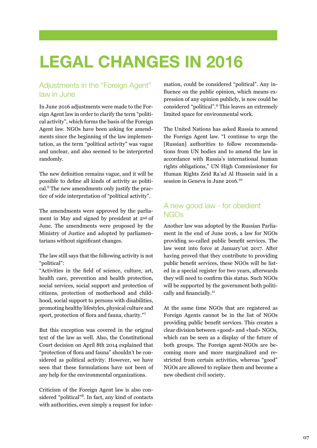# **LEGAL CHANGES IN 2016**

### Adjustments in the "Foreign Agent" law in June

In June 2016 adjustments were made to the Foreign Agent law in order to clarify the term "political activity", which forms the basis of the Foreign Agent law. NGOs have been asking for amendments since the beginning of the law implementation, as the term "political activity" was vague and unclear, and also seemed to be interpreted randomly.

The new definition remains vague, and it will be possible to define all kinds of activity as political.<sup>6</sup> The new amendments only justify the practice of wide interpretation of "political activity".

The amendments were approved by the parliament in May and signed by president at 2nd of June. The amendments were proposed by the Ministry of Justice and adopted by parliamentarians without significant changes.

The law still says that the following activity is not "political":

"Activities in the field of science, culture, art, health care, prevention and health protection, social services, social support and protection of citizens, protection of motherhood and childhood, social support to persons with disabilities, promoting healthy lifestyles, physical culture and sport, protection of flora and fauna, charity."<sup>7</sup>

But this exception was covered in the original text of the law as well. Also, the Constitutional Court decision on April 8th 2014 explained that "protection of flora and fauna" shouldn't be considered as political activity. However, we have seen that these formulations have not been of any help for the environmental organizations.

Criticism of the Foreign Agent law is also considered "political"8. In fact, any kind of contacts with authorities, even simply a request for infor-

mation, could be considered "political". Any influence on the public opinion, which means expression of any opinion publicly, is now could be considered "political".<sup>9</sup> This leaves an extremely limited space for environmental work.

The United Nations has asked Russia to amend the Foreign Agent law. "I continue to urge the [Russian] authorities to follow recommendations from UN bodies and to amend the law in accordance with Russia's international human rights obligations," UN High Commissioner for Human Rights Zeid Ra'ad Al Hussein said in a session in Geneva in June 2016.<sup>10</sup>

#### A new good law - for obedient NGOs

Another law was adopted by the Russian Parliament in the end of June 2016, a law for NGOs providing so-called public benefit services. The law went into force at January'1st 2017. After having proved that they contribute to providing public benefit services, these NGOs will be listed in a special register for two years, afterwards they will need to confirm this status. Such NGOs will be supported by the government both politically and financially.<sup>11</sup>

At the same time NGOs that are registered as Foreign Agents cannot be in the list of NGOs providing public benefit services. This creates a clear division between «good» and «bad» NGOs, which can be seen as a display of the future of both groups. The Foreign agent-NGOs are becoming more and more marginalized and restricted from certain activities, whereas "good" NGOs are allowed to replace them and become a new obedient civil society.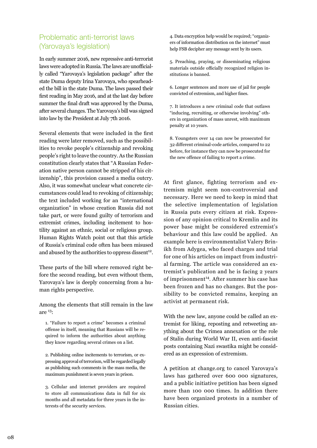### Problematic anti-terrorist laws (Yarovaya's legislation)

In early summer 2016, new repressive anti-terrorist laws were adopted in Russia. The laws are unofficially called "Yarovaya's legislation package" after the state Duma deputy Irina Yarovaya, who spearheaded the bill in the state Duma. The laws passed their first reading in May 2016, and at the last day before summer the final draft was approved by the Duma, after several changes. The Yarovaya's bill was signed into law by the President at July 7th 2016.

Several elements that were included in the first reading were later removed, such as the possibilities to revoke people's citizenship and revoking people's right to leave the country. As the Russian constitution clearly states that "A Russian Federation native person cannot be stripped of his citizenship", this provision caused a media outcry. Also, it was somewhat unclear what concrete circumstances could lead to revoking of citizenship; the text included working for an "international organization" in whose creation Russia did not take part, or were found guilty of terrorism and extremist crimes, including incitement to hostility against an ethnic, social or religious group. Human Rights Watch point out that this article of Russia's criminal code often has been misused and abused by the authorities to oppress dissent<sup>12</sup>.

These parts of the bill where removed right before the second reading, but even without them, Yarovaya's law is deeply concerning from a human rights perspective.

Among the elements that still remain in the law are  $^{13}$ :

1. "Failure to report a crime" becomes a criminal offense in itself, meaning that Russians will be required to inform the authorities about anything they know regarding several crimes on a list.

2. Publishing online incitements to terrorism, or expressing approval of terrorism, will be regarded legally as publishing such comments in the mass media, the maximum punishment is seven years in prison.

3. Cellular and internet providers are required to store all communications data in full for six months and all metadata for three years in the interests of the security services.

4. Data encryption help would be required; "organizers of information distribution on the internet" must help FSB decipher any message sent by its users.

5. Preaching, praying, or disseminating religious materials outside officially recognized religion institutions is banned.

6. Longer sentences and more use of jail for people convicted of extremism, and higher fines.

7. It introduces a new criminal code that outlaws "inducing, recruiting, or otherwise involving" others in organization of mass unrest, with maximum penalty at 10 years.

8. Youngsters over 14 can now be prosecuted for 32 different criminal-code articles, compared to 22 before, for instance they can now be prosecuted for the new offence of failing to report a crime.

At first glance, fighting terrorism and extremism might seem non-controversial and necessary. Here we need to keep in mind that the selective implementation of legislation in Russia puts every citizen at risk. Expression of any opinion critical to Kremlin and its power base might be considered extremist's behaviour and this law could be applied. An example here is environmentalist Valery Brinikh from Adygea, who faced charges and trial for one of his articles on impact from industrial farming. The article was considered an extremist's publication and he is facing 2 years of imprisonment<sup>14</sup>. After summer his case has been frozen and has no changes. But the possibility to be convicted remains, keeping an activist at permanent risk.

With the new law, anyone could be called an extremist for liking, reposting and retweeting anything about the Crimea annexation or the role of Stalin during World War II, even anti-fascist posts containing Nazi swastika might be considered as an expression of extremism.

A petition at change.org to cancel Yarovaya's laws has gathered over 600 000 signatures, and a public initiative petition has been signed more than 100 000 times. In addition there have been organized protests in a number of Russian cities.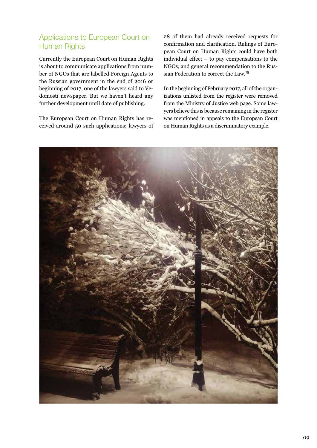### Applications to European Court on Human Rights

Currently the European Court on Human Rights is about to communicate applications from number of NGOs that are labelled Foreign Agents to the Russian government in the end of 2016 or beginning of 2017, one of the lawyers said to Vedomosti newspaper. But we haven't heard any further development until date of publishing.

The European Court on Human Rights has received around 50 such applications; lawyers of 28 of them had already received requests for confirmation and clarification. Rulings of European Court on Human Rights could have both individual effect – to pay compensations to the NGOs, and general recommendation to the Russian Federation to correct the Law.15

In the beginning of February 2017, all of the organizations unlisted from the register were removed from the Ministry of Justice web page. Some lawyers believe this is because remaining in the register was mentioned in appeals to the European Court on Human Rights as a discriminatory example.

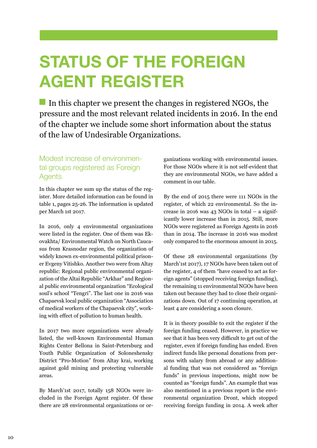# **STATUS OF THE FOREIGN AGENT REGISTER**

In this chapter we present the changes in registered NGOs, the pressure and the most relevant related incidents in 2016. In the end of the chapter we include some short information about the status of the law of Undesirable Organizations.

#### Modest increase of environmental groups registered as Foreign Agents

In this chapter we sum up the status of the register. More detailed information can be found in table 1, pages 25-26. The information is updated per March 1st 2017.

In 2016, only 4 environmental organizations were listed in the register. One of them was Ekovakhta/ Environmental Watch on North Caucasus from Krasnodar region, the organization of widely known ex-environmental political prisoner Evgeny Vitishko. Another two were from Altay republic: Regional public environmental organization of the Altai Republic "Arkhar" and Regional public environmental organization "Ecological soul's school "Tengri". The last one in 2016 was Chapaevsk local public organization "Association of medical workers of the Chapaevsk city", working with effect of pollution to human health.

In 2017 two more organizations were already listed, the well-known Environmental Human Rights Center Bellona in Saint-Petersburg and Youth Public Organization of Soloneshensky District "Pro-Motion" from Altay krai, working against gold mining and protecting vulnerable areas.

By March'1st 2017, totally 158 NGOs were included in the Foreign Agent register. Of these there are 28 environmental organizations or organizations working with environmental issues. For those NGOs where it is not self-evident that they are environmental NGOs, we have added a comment in our table.

By the end of 2015 there were 111 NGOs in the register, of which 22 environmental. So the increase in 2016 was 43 NGOs in total – a significantly lower increase than in 2015. Still, more NGOs were registered as Foreign Agents in 2016 than in 2014. The increase in 2016 was modest only compared to the enormous amount in 2015.

Of these 28 environmental organizations (by March'1st 2017), 17 NGOs have been taken out of the register, 4 of them "have ceased to act as foreign agents" (stopped receiving foreign funding), the remaining 11 environmental NGOs have been taken out because they had to close their organizations down. Out of 17 continuing operation, at least 4 are considering a soon closure.

It is in theory possible to exit the register if the foreign funding ceased. However, in practice we see that it has been very difficult to get out of the register, even if foreign funding has ended. Even indirect funds like personal donations from persons with salary from abroad or any additional funding that was not considered as "foreign funds" in previous inspections, might now be counted as "foreign funds". An example that was also mentioned in a previous report is the environmental organization Dront, which stopped receiving foreign funding in 2014. A week after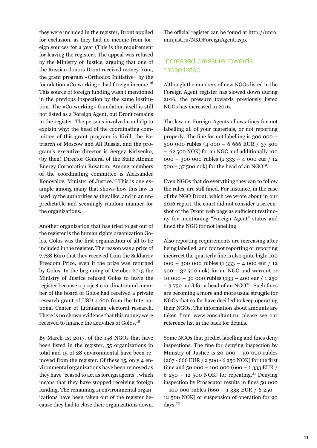they were included in the register, Dront applied for exclusion, as they had no income from foreign sources for a year (This is the requirement for leaving the register). The appeal was refused by the Ministry of Justice, arguing that one of the Russian donors Dront received money from, the grant program «Orthodox Initiative» by the foundation «Co-working», had foreign income.<sup>16</sup> This source of foreign funding wasn't mentioned in the previous inspection by the same institution. The «Co-working» foundation itself is still not listed as a Foreign Agent, but Dront remains in the register. The persons involved can help to explain why: the head of the coordinating committee of this grant program is Kirill, the Patriarch of Moscow and All Russia, and the program's executive director is Sergey Kiriyenko, (by then) Director General of the State Atomic Energy Corporation Rosatom. Among members of the coordinating committee is Aleksander Konovalov, Minister of Justice.<sup>17</sup> This is one example among many that shows how this law is used by the authorities as they like, and in an unpredictable and seemingly random manner for the organizations.

Another organization that has tried to get out of the register is the human rights organization Golos. Golos was the first organization of all to be included in the register. The reason was a prize of 7.728 Euro that they received from the Sakharov Freedom Price, even if the prize was returned by Golos. In the beginning of October 2015 the Ministry of Justice refused Golos to leave the register because a project coordinator and member of the board of Golos had received a private research grant of USD 4,600 from the International Center of Lithuanian electoral research. There is no shown evidence that this money were received to finance the activities of Golos.<sup>18</sup>

By March 1st 2017, of the 158 NGOs that have been listed in the register, 55 organizations in total and 15 of 28 environmental have been removed from the register. Of these 15, only 4 environmental organizations have been removed as they have "ceased to act as foreign agents", which means that they have stopped receiving foreign funding. The remaining 11 environmental organizations have been taken out of the register because they had to close their organizations down.

The official register can be found at http://unro. minjust.ru/NKOForeignAgent.aspx

#### Increased pressure towards those listed

Although the numbers of new NGOs listed in the Foreign Agent register has slowed down during 2016, the pressure towards previously listed NGOs has increased in 2016.

The law on Foreign Agents allows fines for not labelling all of your materials, or not reporting properly. The fine for not labelling is 300 000 – 500 000 rubles (4 000 – 6 666 EUR / 37 500 – 62 500 NOK) for an NGO and additionally 100 000 – 300 000 rubles (1 333 – 4 000 eur / 12  $500 - 37500$  nok) for the head of an NGO<sup>19</sup>.

Even NGOs that do everything they can to follow the rules, are still fined. For instance, in the case of the NGO Dront, which we wrote about in our 2016 report, the court did not consider a screenshot of the Dront web page as sufficient testimony for mentioning "Foreign Agent" status and fined the NGO for not labelling.

Also reporting requirements are increasing after being labelled, and for not reporting or reporting incorrect the quarterly fine is also quite high: 100 000 – 300 000 rubles (1 333 – 4 000 eur / 12 500 – 37 500 nok) for an NGO and warrant or 10 000 – 30 000 rubles (133 – 400 eur / 1 250  $-$  3 750 nok) for a head of an NGO<sup>20</sup>. Such fines are becoming a more and more usual struggle for NGOs that so far have decided to keep operating their NGOs. The information about amounts are taken from www.consultant.ru, please see our reference list in the back for details.

Some NGOs that predict labelling and fines deny inspections. The fine for denying inspection by Ministry of Justice is  $20 000 - 50 000$  rubles (267 - 666 EUR / 2 500 - 6 250 NOK) for the first time and 50 000 - 100 000 (660 - 1 333 EUR / 6 250 – 12 500 NOK) for repeating.<sup>21</sup> Denying inspection by Prosecutor results in fines 50 000  $-$  100 000 rubles (660 – 1 333 EUR / 6 250 – 12 500 NOK) or suspension of operation for 90 days.<sup>22</sup>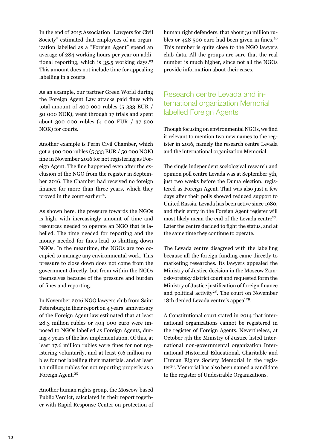In the end of 2015 Association "Lawyers for Civil Society" estimated that employees of an organization labelled as a "Foreign Agent" spend an average of 284 working hours per year on additional reporting, which is  $35.5$  working days.<sup>23</sup> This amount does not include time for appealing labelling in a courts.

As an example, our partner Green World during the Foreign Agent Law attacks paid fines with total amount of 400 000 rubles (5 333 EUR / 50 000 NOK), went through 17 trials and spent about 300 000 rubles (4 000 EUR / 37 500 NOK) for courts.

Another example is Perm Civil Chamber, which got a 400 000 rubles (5 333 EUR / 50 000 NOK) fine in November 2016 for not registering as Foreign Agent. The fine happened even after the exclusion of the NGO from the register in September 2016. The Chamber had received no foreign finance for more than three years, which they proved in the court earlier<sup>24</sup>.

As shown here, the pressure towards the NGOs is high, with increasingly amount of time and resources needed to operate an NGO that is labelled. The time needed for reporting and the money needed for fines lead to shutting down NGOs. In the meantime, the NGOs are too occupied to manage any environmental work. This pressure to close down does not come from the government directly, but from within the NGOs themselves because of the pressure and burden of fines and reporting.

In November 2016 NGO lawyers club from Saint Petersburg in their report on 4 years' anniversary of the Foreign Agent law estimated that at least 28.3 million rubles or 404 000 euro were imposed to NGOs labelled as Foreign Agents, during 4 years of the law implementation. Of this, at least 17.6 million rubles were fines for not registering voluntarily, and at least 9.6 million rubles for not labelling their materials, and at least 1.1 million rubles for not reporting properly as a Foreign Agent.<sup>25</sup>

Another human rights group, the Moscow-based Public Verdict, calculated in their report together with Rapid Response Center on protection of human right defenders, that about 30 million rubles or  $428$  500 euro had been given in fines.<sup>26</sup> This number is quite close to the NGO lawyers club data. All the groups are sure that the real number is much higher, since not all the NGOs provide information about their cases.

### Research centre Levada and international organization Memorial labelled Foreign Agents

Though focusing on environmental NGOs, we find it relevant to mention two new names to the register in 2016, namely the research centre Levada and the international organization Memorial.

The single independent sociological research and opinion poll centre Levada was at September 5th, just two weeks before the Duma election, registered as Foreign Agent. That was also just a few days after their polls showed reduced support to United Russia. Levada has been active since 1980, and their entry in the Foreign Agent register will most likely mean the end of the Levada centre<sup>27</sup>. Later the centre decided to fight the status, and at the same time they continue to operate.

The Levada centre disagreed with the labelling because all the foreign funding came directly to marketing researches. Its lawyers appealed the Ministry of Justice decision in the Moscow Zamoskvoretsky district court and requested form the Ministry of Justice justification of foreign finance and political activity<sup>28</sup>. The court on November 18th denied Levada centre's appeal<sup>29</sup>.

A Constitutional court stated in 2014 that international organizations cannot be registered in the register of Foreign Agents. Nevertheless, at October 4th the Ministry of Justice listed International non-governmental organization International Historical-Educational, Charitable and Human Rights Society Memorial in the register<sup>30</sup>. Memorial has also been named a candidate to the register of Undesirable Organizations.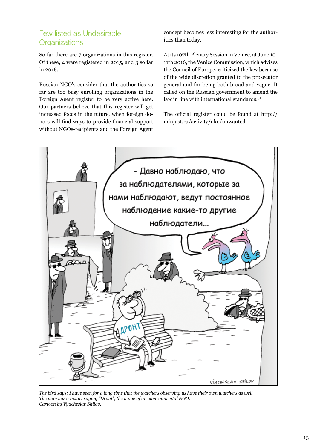### Few listed as Undesirable **Organizations**

So far there are 7 organizations in this register. Of these, 4 were registered in 2015, and 3 so far in 2016.

Russian NGO's consider that the authorities so far are too busy enrolling organizations in the Foreign Agent register to be very active here. Our partners believe that this register will get increased focus in the future, when foreign donors will find ways to provide financial support without NGOs-recipients and the Foreign Agent

concept becomes less interesting for the authorities than today.

At its 107th Plenary Session in Venice, at June 10- 11th 2016, the Venice Commission, which advises the Council of Europe, criticized the law because of the wide discretion granted to the prosecutor general and for being both broad and vague. It called on the Russian government to amend the law in line with international standards.<sup>31</sup>

The official register could be found at http:// minjust.ru/activity/nko/unwanted



*The bird says: I have seen for a long time that the watchers observing us have their own watchers as well. The man has a t-shirt saying "Dront", the name of an environmental NGO. Cartoon by Vyacheslav Shilov.*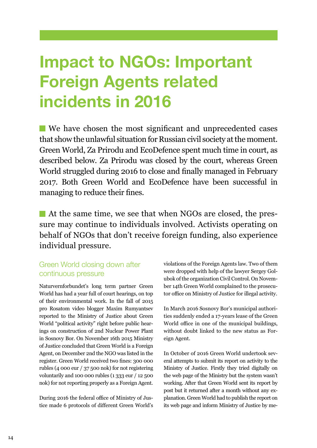## **Impact to NGOs: Important Foreign Agents related incidents in 2016**

We have chosen the most significant and unprecedented cases that show the unlawful situation for Russian civil society at the moment. Green World, Za Prirodu and EcoDefence spent much time in court, as described below. Za Prirodu was closed by the court, whereas Green World struggled during 2016 to close and finally managed in February 2017. Both Green World and EcoDefence have been successful in managing to reduce their fines.

At the same time, we see that when NGOs are closed, the pressure may continue to individuals involved. Activists operating on behalf of NGOs that don't receive foreign funding, also experience individual pressure.

#### Green World closing down after continuous pressure

Naturvernforbundet's long term partner Green World has had a year full of court hearings, on top of their environmental work. In the fall of 2015 pro Rosatom video blogger Maxim Rumyantsev reported to the Ministry of Justice about Green World "political activity" right before public hearings on construction of 2nd Nuclear Power Plant in Sosnovy Bor. On November 16th 2015 Ministry of Justice concluded that Green World is a Foreign Agent, on December 2nd the NGO was listed in the register. Green World received two fines: 300 000 rubles (4 000 eur / 37 500 nok) for not registering voluntarily and 100 000 rubles (1 333 eur / 12 500 nok) for not reporting properly as a Foreign Agent.

During 2016 the federal office of Ministry of Justice made 6 protocols of different Green World's

violations of the Foreign Agents law. Two of them were dropped with help of the lawyer Sergey Golubok of the organization Civil Control. On November 14th Green World complained to the prosecutor office on Ministry of Justice for illegal activity.

In March 2016 Sosnovy Bor's municipal authorities suddenly ended a 17-years lease of the Green World office in one of the municipal buildings, without doubt linked to the new status as Foreign Agent.

In October of 2016 Green World undertook several attempts to submit its report on activity to the Ministry of Justice. Firstly they tried digitally on the web page of the Ministry but the system wasn't working. After that Green World sent its report by post but it returned after a month without any explanation. Green World had to publish the report on its web page and inform Ministry of Justice by me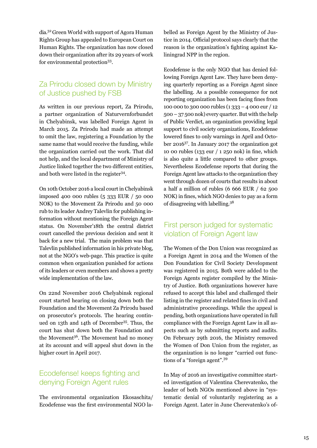dia.32 Green World with support of Agora Human Rights Group has appealed to European Court on Human Rights. The organization has now closed down their organization after its 29 years of work for environmental protection<sup>33</sup>.

#### Za Prirodu closed down by Ministry of Justice pushed by FSB

As written in our previous report, Za Prirodu, a partner organization of Naturvernforbundet in Chelyabinsk, was labelled Foreign Agent in March 2015. Za Prirodu had made an attempt to omit the law, registering a Foundation by the same name that would receive the funding, while the organization carried out the work. That did not help, and the local department of Ministry of Justice linked together the two different entities, and both were listed in the register<sup>34</sup>.

On 10th October 2016 a local court in Chelyabinsk imposed 400 000 rubles (5 333 EUR / 50 000 NOK) to the Movement Za Prirodu and 50 000 rub to its leader Andrey Talevlin for publishing information without mentioning the Foreign Agent status. On November'18th the central district court cancelled the previous decision and sent it back for a new trial. The main problem was that Talevlin published information in his private blog, not at the NGO's web-page. This practice is quite common when organization punished for actions of its leaders or even members and shows a pretty wide implementation of the law.

On 22nd November 2016 Chelyabinsk regional court started hearing on closing down both the Foundation and the Movement Za Prirodu based on prosecutor's protocols. The hearing continued on 13th and 14th of December35. Thus, the court has shut down both the Foundation and the Movement<sup>36</sup>. The Movement had no money at its account and will appeal shut down in the higher court in April 2017.

#### Ecodefense! keeps fighting and denying Foreign Agent rules

The environmental organization Ekosaschita/ Ecodefense was the first environmental NGO la-

belled as Foreign Agent by the Ministry of Justice in 2014. Official protocol says clearly that the reason is the organization's fighting against Kaliningrad NPP in the region.

Ecodefense is the only NGO that has denied following Foreign Agent Law. They have been denying quarterly reporting as a Foreign Agent since the labelling. As a possible consequence for not reporting organization has been facing fines from 100 000 to 300 000 rubles (1 333 – 4 000 eur / 12 500 – 37 500 nok) every quarter. But with the help of Public Verdict, an organization providing legal support to civil society organizations, Ecodefense lowered fines to only warnings in April and October 201637. In January 2017 the organization got 10 00 rubles (133 eur / 1 250 nok) in fine, which is also quite a little compared to other groups. Nevertheless Ecodefense reports that during the Foreign Agent law attacks to the organization they went through dozen of courts that results in about a half a million of rubles (6 666 EUR / 62 500 NOK) in fines, which NGO denies to pay as a form of disagreeing with labelling.38

#### First person judged for systematic violation of Foreign Agent law

The Women of the Don Union was recognized as a Foreign Agent in 2014 and the Women of the Don Foundation for Civil Society Development was registered in 2015. Both were added to the Foreign Agents register compiled by the Ministry of Justice. Both organizations however have refused to accept this label and challenged their listing in the register and related fines in civil and administrative proceedings. While the appeal is pending, both organizations have operated in full compliance with the Foreign Agent Law in all aspects such as by submitting reports and audits. On February 29th 2016, the Ministry removed the Women of Don Union from the register, as the organization is no longer "carried out functions of a "foreign agent".<sup>39</sup>

In May of 2016 an investigative committee started investigation of Valentina Cherevatenko, the leader of both NGOs mentioned above in "systematic denial of voluntarily registering as a Foreign Agent. Later in June Cherevatenko's of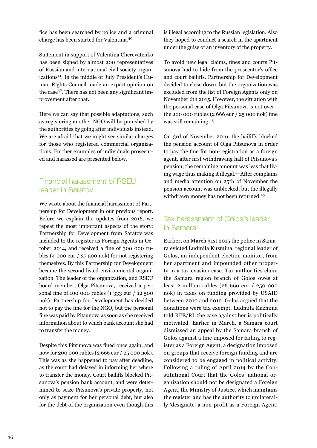fice has been searched by police and a criminal charge has been started for Valentina.<sup>40</sup>

Statement in support of Valentina Cherevatenko has been signed by almost 200 representatives of Russian and international civil society organizations41. In the middle of July President's Human Rights Council made an expert opinion on the case<sup>42</sup>. There has not been any significant improvement after that.

Here we can say that possible adaptations, such as registering another NGO will be punished by the authorities by going after individuals instead. We are afraid that we might see similar charges for those who registered commercial organizations. Further examples of individuals prosecuted and harassed are presented below.

### Financial harassment of RSEU leader in Saratov

We wrote about the financial harassment of Partnership for Development in our previous report. Before we explain the updates from 2016, we repeat the most important aspects of the story: Partnership for Development from Saratov was included to the register as Foreign Agents in October 2014, and received a fine of 300 000 rubles (4 000 eur / 37 500 nok) for not registering themselves. By this Partnership for Development became the second listed environmental organization. The leader of the organization, and RSEU board member, Olga Pitsunova, received a personal fine of 100 000 rubles (1 333 eur / 12 500 nok). Partnership for Development has decided not to pay the fine for the NGO, but the personal fine was paid by Pitsunova as soon as she received information about to which bank account she had to transfer the money.

Despite this Pitsunova was fined once again, and now for 200 000 rubles (2 666 eur / 25 000 nok). This was as she happened to pay after deadline, as the court had delayed in informing her where to transfer the money. Court bailiffs blocked Pitsunova's pension bank account, and were determined to seize Pitsunova's private property, not only as payment for her personal debt, but also for the debt of the organization even though this

is illegal according to the Russian legislation. Also they hoped to conduct a search in the apartment under the guise of an inventory of the property.

To avoid new legal claims, fines and courts Pitsunova had to hide from the prosecutor's office and court bailiffs. Partnership for Development decided to close down, but the organization was excluded from the list of Foreign Agents only on November 6th 2015. However, the situation with the personal case of Olga Pitsunova is not over the 200 000 rubles (2 666 eur / 25 000 nok) fine was still remaining.<sup>43</sup>

On 3rd of November 2016, the bailiffs blocked the pension account of Olga Pitsunova in order to pay the fine for non-registration as a foreign agent, after first withdrawing half of Pitsunova's pension; the remaining amount was less that living wage thus making it illegal.44 After complains and media attention on 25th of November the pension account was unblocked, but the illegally withdrawn money has not been returned.<sup>45</sup>

#### Tax harassment of Golos's leader in Samara

Earlier, on March 31st 2015 the police in Samara evicted Ludmila Kuzmina, regional leader of Golos, an independent election monitor, from her apartment and impounded other property in a tax-evasion case. Tax authorities claim the Samara region branch of Golos owes at least 2 million rubles (26 666 eur / 250 000 nok) in taxes on funding provided by USAID between 2010 and 2012. Golos argued that the donations were tax exempt. Ludmila Kuzmina told RFE/RL the case against her is politically motivated. Earlier in March, a Samara court dismissed an appeal by the Samara branch of Golos against a fine imposed for failing to register as a Foreign Agent, a designation imposed on groups that receive foreign funding and are considered to be engaged in political activity. Following a ruling of April 2014 by the Constitutional Court that the Golos' national organization should not be designated a Foreign Agent, the Ministry of Justice, which maintains the register and has the authority to unilaterally 'designate' a non-profit as a Foreign Agent,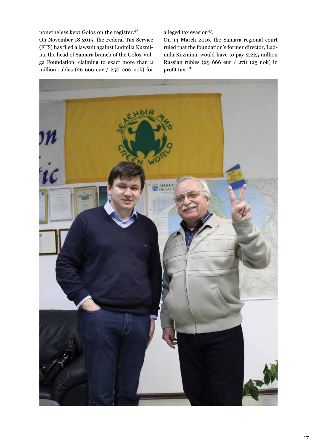nonetheless kept Golos on the register.<sup>46</sup> On November 18 2015, the Federal Tax Service (FTS) has filed a lawsuit against Ludmila Kuzmina, the head of Samara branch of the Golos-Volga Foundation, claiming to exact more than 2 million rubles (26 666 eur / 250 000 nok) for alleged tax evasion<sup>47</sup>.

On 14 March 2016, the Samara regional court ruled that the foundation's former director, Ludmila Kuzmina, would have to pay 2.225 million Russian rubles (29 666 eur / 278 125 nok) in profit tax.<sup>48</sup>

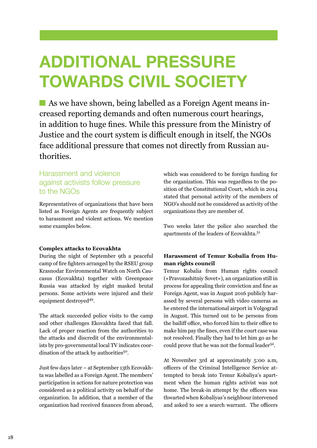## **ADDITIONAL PRESSURE TOWARDS CIVIL SOCIETY**

As we have shown, being labelled as a Foreign Agent means increased reporting demands and often numerous court hearings, in addition to huge fines. While this pressure from the Ministry of Justice and the court system is difficult enough in itself, the NGOs face additional pressure that comes not directly from Russian authorities.

#### Harassment and violence against activists follow pressure to the NGOs

Representatives of organizations that have been listed as Foreign Agents are frequently subject to harassment and violent actions. We mention some examples below.

#### **Complex attacks to Ecovakhta**

During the night of September 9th a peaceful camp of fire fighters arranged by the RSEU group Krasnodar Environmental Watch on North Caucasus (Ecovakhta) together with Greenpeace Russia was attacked by eight masked brutal persons. Some activists were injured and their equipment destroyed<sup>49</sup>.

The attack succeeded police visits to the camp and other challenges Ekovakhta faced that fall. Lack of proper reaction from the authorities to the attacks and discredit of the environmentalists by pro-governmental local TV indicates coordination of the attack by authorities<sup>50</sup>.

Just few days later – at September 13th Ecovakhta was labelled as a Foreign Agent. The members' participation in actions for nature protection was considered as a political activity on behalf of the organization. In addition, that a member of the organization had received finances from abroad,

which was considered to be foreign funding for the organization. This was regardless to the position of the Constitutional Court, which in 2014 stated that personal activity of the members of NGO's should not be considered as activity of the organizations they are member of.

Two weeks later the police also searched the apartments of the leaders of Ecovakhta.<sup>51</sup>

#### **Harassment of Temur Kobalia from Human rights council**

Temur Kobalia from Human rights council («Pravozashitniy Sovet»), an organization still in process for appealing their conviction and fine as Foreign Agent, was in August 2016 publicly harassed by several persons with video cameras as he entered the international airport in Volgograd in August. This turned out to be persons from the bailiff office, who forced him to their office to make him pay the fines, even if the court case was not resolved. Finally they had to let him go as he could prove that he was not the formal leader<sup>52</sup>.

At November 3rd at approximately 5:00 a.m, officers of the Criminal Intelligence Service attempted to break into Temur Kobaliya's apartment when the human rights activist was not home. The break-in attempt by the officers was thwarted when Kobaliyas's neighbour intervened and asked to see a search warrant. The officers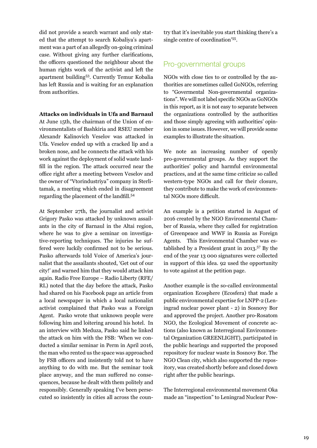did not provide a search warrant and only stated that the attempt to search Kobaliya's apartment was a part of an allegedly on-going criminal case. Without giving any further clarifications, the officers questioned the neighbour about the human rights work of the activist and left the apartment building53. Currently Temur Kobalia has left Russia and is waiting for an explanation from authorities.

#### **Attacks on individuals in Ufa and Barnaul**

At June 15th, the chairman of the Union of environmentalists of Bashkiria and RSEU member Alexandr Kalinovich Veselov was attacked in Ufa. Veselov ended up with a cracked lip and a broken nose, and he connects the attack with his work against the deployment of solid waste landfill in the region. The attack occurred near the office right after a meeting between Veselov and the owner of "Vtorindustriya" company in Sterlitamak, a meeting which ended in disagreement regarding the placement of the landfill.<sup>54</sup>

At September 27th, the journalist and activist Grigory Pasko was attacked by unknown assailants in the city of Barnaul in the Altai region, where he was to give a seminar on investigative-reporting techniques. The injuries he suffered were luckily confirmed not to be serious. Pasko afterwards told Voice of America's journalist that the assailants shouted, 'Get out of our city!' and warned him that they would attack him again. Radio Free Europe – Radio Liberty (RFE/ RL) noted that the day before the attack, Pasko had shared on his Facebook page an article from a local newspaper in which a local nationalist activist complained that Pasko was a Foreign Agent. Pasko wrote that unknown people were following him and loitering around his hotel. In an interview with Meduza, Pasko said he linked the attack on him with the FSB: 'When we conducted a similar seminar in Perm in April 2016, the man who rented us the space was approached by FSB officers and insistently told not to have anything to do with me. But the seminar took place anyway, and the man suffered no consequences, because he dealt with them politely and responsibly. Generally speaking I've been persecuted so insistently in cities all across the coun-

try that it's inevitable you start thinking there's a single centre of coordination'55.

#### Pro-governmental groups

NGOs with close ties to or controlled by the authorities are sometimes called GoNGOs, referring to "Govermental Non-governmental organizations". We will not label specific NGOs as GoNGOs in this report, as it is not easy to separate between the organizations controlled by the authorities and those simply agreeing with authorities' opinion in some issues. However, we will provide some examples to illustrate the situation.

We note an increasing number of openly pro-governmental groups. As they support the authorities' policy and harmful environmental practices, and at the same time criticize so called western-type NGOs and call for their closure, they contribute to make the work of environmental NGOs more difficult.

An example is a petition started in August of 2016 created by the NGO Environmental Chamber of Russia, where they called for registration of Greenpeace and WWF in Russia as Foreign Agents. This Environmental Chamber was established by a President grant in  $2013$ .<sup>57</sup> By the end of the year 13 000 signatures were collected in support of this idea. 92 used the opportunity to vote against at the petition page.

Another example is the so-called environmental organization Ecosphere (Ecosfera) that made a public environmental expertise for LNPP-2 (Leningrad nuclear power plant - 2) in Sosnovy Bor and approved the project. Another pro-Rosatom NGO, the Ecological Movement of concrete actions (also known as Interregional Environmental Organization GREENLIGHT), participated in the public hearings and supported the proposed repository for nuclear waste in Sosnovy Bor. The NGO Clean city, which also supported the repository, was created shortly before and closed down right after the public hearings.

The Interregional environmental movement Oka made an "inspection" to Leningrad Nuclear Pow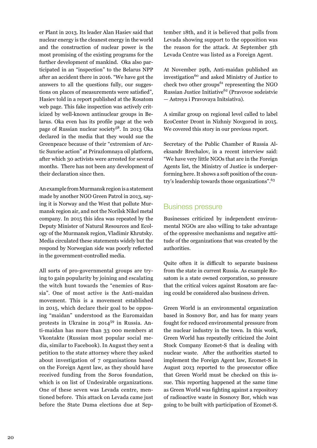er Plant in 2013. Its leader Alan Hasiev said that nuclear energy is the cleanest energy in the world and the construction of nuclear power is the most promising of the existing programs for the further development of mankind. Oka also participated in an "inspection" to the Belarus NPP after an accident there in 2016. "We have got the answers to all the questions fully, our suggestions on places of measurements were satisfied", Hasiev told in a report published at the Rosatom web page. This fake inspection was actively criticized by well-known antinuclear groups in Belarus. Oka even has its profile page at the web page of Russian nuclear society<sup>58</sup>. In 2013 Oka declared in the media that they would sue the Greenpeace because of their "extremism of Arctic Sunrise action" at Prirazlomnaya oil platform, after which 30 activists were arrested for several months. There has not been any development of their declaration since then.

An example from Murmansk region is a statement made by another NGO Green Patrol in 2013, saying it is Norway and the West that pollute Murmansk region air, and not the Norilsk Nikel metal company. In 2015 this idea was repeated by the Deputy Minister of Natural Resources and Ecology of the Murmansk region, Vladimir Khrutsky. Media circulated these statements widely but the respond by Norwegian side was poorly reflected in the government-controlled media.

All sorts of pro-governmental groups are trying to gain popularity by joining and escalating the witch hunt towards the "enemies of Russia". One of most active is the Anti-maidan movement. This is a movement established in 2015, which declare their goal to be opposing "maidan" understood as the Euromaidan protests in Ukraine in 2014<sup>59</sup> in Russia. Anti-maidan has more than 33 000 members at Vkontakte (Russian most popular social media, similar to Facebook). In August they sent a petition to the state attorney where they asked about investigation of 7 organisations based on the Foreign Agent law, as they should have received funding from the Soros foundation, which is on list of Undesirable organizations. One of these seven was Levada centre, mentioned before. This attack on Levada came just before the State Duma elections due at September 18th, and it is believed that polls from Levada showing support to the opposition was the reason for the attack. At September 5th Levada Centre was listed as a Foreign Agent.

At November 29th, Anti-maidan published an investigation<sup>60</sup> and asked Ministry of Justice to check two other groups<sup>61</sup> representing the NGO Russian Justice Initiative<sup>62</sup> (Pravovoe sodeistvie — Astreya i Pravovaya Initsiativa).

A similar group on regional level called to label EcoCenter Dront in Nizhniy Novgorod in 2015. We covered this story in our previous report.

Secretary of the Public Chamber of Russia Aleksandr Brechalov, in a recent interview said: "We have very little NGOs that are in the Foreign Agents list, the Ministry of Justice is underperforming here. It shows a soft position of the country's leadership towards those organizations".<sup>63</sup>

#### Business pressure

Businesses criticized by independent environmental NGOs are also willing to take advantage of the oppressive mechanisms and negative attitude of the organizations that was created by the authorities.

Quite often it is difficult to separate business from the state in current Russia. As example Rosatom is a state owned corporation, so pressure that the critical voices against Rosatom are facing could be considered also business driven.

Green World is an environmental organization based in Sosnovy Bor, and has for many years fought for reduced environmental pressure from the nuclear industry in the town. In this work, Green World has repeatedly criticized the Joint Stock Company Ecomet-S that is dealing with nuclear waste. After the authorities started to implement the Foreign Agent law, Ecomet-S in August 2013 reported to the prosecutor office that Green World must be checked on this issue. This reporting happened at the same time as Green World was fighting against a repository of radioactive waste in Sosnovy Bor, which was going to be built with participation of Ecomet-S.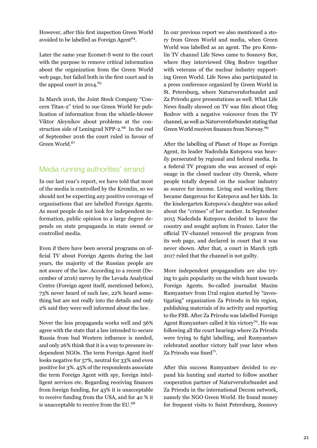However, after this first inspection Green World avoided to be labelled as Foreign Agent<sup>64</sup>.

Later the same year Ecomet-S went to the court with the purpose to remove critical information about the organization from the Green World web page, but failed both in the first court and in the appeal court in 2014.<sup>65</sup>

In March 2016, the Joint Stock Company "Concern Titan-2" tried to sue Green World for publication of information from the whistle-blower Viktor Aleynikov about problems at the construction side of Leningrad NPP-2.<sup>66</sup> In the end of September 2016 the court ruled in favour of Green World.<sup>67</sup>

### Media running authorities' errand

In our last year's report, we have told that most of the media is controlled by the Kremlin, so we should not be expecting any positive coverage of organisations that are labelled Foreign Agents. As most people do not look for independent information, public opinion to a large degree depends on state propaganda in state owned or controlled media.

Even if there have been several programs on official TV about Foreign Agents during the last years, the majority of the Russian people are not aware of the law. According to a recent (December of 2016) survey by the Levada Analytical Centre (Foreign agent itself, mentioned before), 73% never heard of such law, 22% heard something but are not really into the details and only 2% said they were well informed about the law.

Never the less propaganda works well and 56% agree with the state that a law intended to secure Russia from bad Western influence is needed, and only 26% think that it is a way to pressure independent NGOs. The term Foreign Agent itself looks negative for 57%, neutral for 33% and even positive for 3%. 45% of the respondents associate the term Foreign Agent with spy, foreign intelligent services etc. Regarding receiving finances from foreign funding, for 43% it is unacceptable to receive funding from the USA, and for 40 % it is unacceptable to receive from the EU.<sup>68</sup>

In our previous report we also mentioned a story from Green World and media, when Green World was labelled as an agent. The pro Kremlin TV channel Life News came to Sosnovy Bor, where they interviewed Oleg Bodrov together with veterans of the nuclear industry supporting Green World. Life News also participated in a press conference organized by Green World in St. Petersburg, where Naturvernforbundet and Za Prirodu gave presentations as well. What Life News finally showed on TV was film about Oleg Bodrov with a negative voiceover from the TV channel, as well as Naturvernforbundet stating that Green World receives finances from Norway.<sup>69</sup>

After the labelling of Planet of Hope as Foreign Agent, its leader Nadezhda Kutepova was heavily persecuted by regional and federal media. In a federal TV program she was accused of espionage in the closed nuclear city Ozersk, where people totally depend on the nuclear industry as source for income. Living and working there became dangerous for Kutepova and her kids. In the kindergarten Kutepova's daughter was asked about the "crimes" of her mother. In September 2015 Nadezhda Kutepova decided to leave the country and sought asylum in France. Later the official TV-channel removed the program from its web page, and declared in court that it was never shown. After that, a court in March 15th 2017 ruled that the channel is not guilty.

More independent propagandists are also trying to gain popularity on the witch hunt towards Foreign Agents. So-called journalist Maxim Rumyantsev from Ural region started by "investigating" organization Za Prirodu in his region, publishing materials of its activity and reporting to the FSB. After Za Prirodu was labelled Foreign Agent Rumyantsev called it his victory<sup>70</sup>. He was following all the court hearings where Za Prirodu were trying to fight labelling, and Rumyantsev celebrated another victory half year later when Za Prirodu was fined<sup>71</sup>.

After this success Rumyantsev decided to expand his hunting and started to follow another cooperation partner of Naturvernforbundet and Za Prirodu in the international Decom network, namely the NGO Green World. He found money for frequent visits to Saint Petersburg, Sosnovy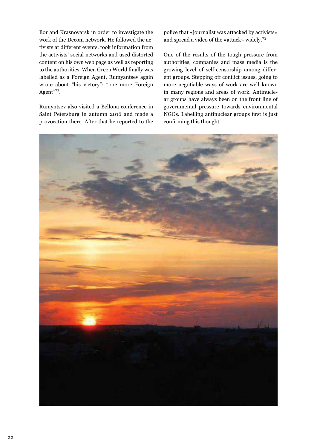Bor and Krasnoyarsk in order to investigate the work of the Decom network. He followed the activists at different events, took information from the activists' social networks and used distorted content on his own web page as well as reporting to the authorities. When Green World finally was labelled as a Foreign Agent, Rumyantsev again wrote about "his victory": "one more Foreign Agent"72.

Rumyntsev also visited a Bellona conference in Saint Petersburg in autumn 2016 and made a provocation there. After that he reported to the

police that «journalist was attacked by activists» and spread a video of the «attack» widely.<sup>73</sup>

One of the results of the tough pressure from authorities, companies and mass media is the growing level of self-censorship among different groups. Stepping off conflict issues, going to more negotiable ways of work are well known in many regions and areas of work. Antinuclear groups have always been on the front line of governmental pressure towards environmental NGOs. Labelling antinuclear groups first is just confirming this thought.

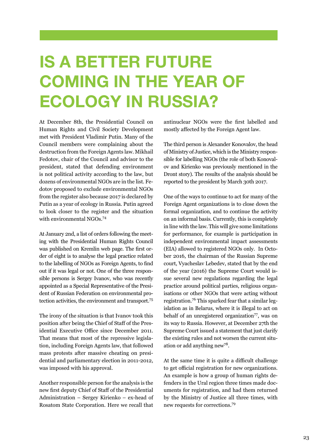## **IS A BETTER FUTURE COMING IN THE YEAR OF ECOLOGY IN RUSSIA?**

At December 8th, the Presidential Council on Human Rights and Civil Society Development met with President Vladimir Putin. Many of the Council members were complaining about the destruction from the Foreign Agents law. Mikhail Fedotov, chair of the Council and advisor to the president, stated that defending environment is not political activity according to the law, but dozens of environmental NGOs are in the list. Fedotov proposed to exclude environmental NGOs from the register also because 2017 is declared by Putin as a year of ecology in Russia. Putin agreed to look closer to the register and the situation with environmental NGOs.<sup>74</sup>

At January 2nd, a list of orders following the meeting with the Presidential Human Rights Council was published on Kremlin web page. The first order of eight is to analyse the legal practice related to the labelling of NGOs as Foreign Agents, to find out if it was legal or not. One of the three responsible persons is Sergey Ivanov, who was recently appointed as a Special Representative of the President of Russian Federation on environmental protection activities, the environment and transport.75

The irony of the situation is that Ivanov took this position after being the Chief of Staff of the Presidential Executive Office since December 2011. That means that most of the repressive legislation, including Foreign Agents law, that followed mass protests after massive cheating on presidential and parliamentary election in 2011-2012, was imposed with his approval.

Another responsible person for the analysis is the new first deputy Chief of Staff of the Presidential Administration – Sergey Kirienko – ex-head of Rosatom State Corporation. Here we recall that

antinuclear NGOs were the first labelled and mostly affected by the Foreign Agent law.

The third person is Alexander Konovalov, the head of Ministry of Justice, which is the Ministry responsible for labelling NGOs (the role of both Konovalov and Kirienko was previously mentioned in the Dront story). The results of the analysis should be reported to the president by March 30th 2017.

One of the ways to continue to act for many of the Foreign Agent organizations is to close down the formal organization, and to continue the activity on an informal basis. Currently, this is completely in line with the law. This will give some limitations for performance, for example is participation in independent environmental impact assessments (EIA) allowed to registered NGOs only. In October 2016, the chairman of the Russian Supreme court, Vyacheslav Lebedev, stated that by the end of the year (2016) the Supreme Court would issue several new regulations regarding the legal practice around political parties, religious organisations or other NGOs that were acting without registration.76 This sparked fear that a similar legislation as in Belarus, where it is illegal to act on behalf of an unregistered organization<sup>77</sup>, was on its way to Russia. However, at December 27th the Supreme Court issued a statement that just clarify the existing rules and not worsen the current situation or add anything new78.

At the same time it is quite a difficult challenge to get official registration for new organizations. An example is how a group of human rights defenders in the Ural region three times made documents for registration, and had them returned by the Ministry of Justice all three times, with new requests for corrections.<sup>79</sup>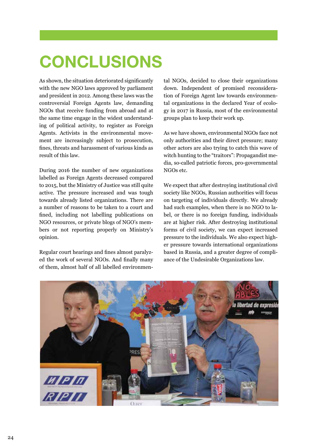# **CONCLUSIONS**

As shown, the situation deteriorated significantly with the new NGO laws approved by parliament and president in 2012. Among these laws was the controversial Foreign Agents law, demanding NGOs that receive funding from abroad and at the same time engage in the widest understanding of political activity, to register as Foreign Agents. Activists in the environmental movement are increasingly subject to prosecution, fines, threats and harassment of various kinds as result of this law.

During 2016 the number of new organizations labelled as Foreign Agents decreased compared to 2015, but the Ministry of Justice was still quite active. The pressure increased and was tough towards already listed organizations. There are a number of reasons to be taken to a court and fined, including not labelling publications on NGO resources, or private blogs of NGO's members or not reporting properly on Ministry's opinion.

Regular court hearings and fines almost paralyzed the work of several NGOs. And finally many of them, almost half of all labelled environmen-

tal NGOs, decided to close their organizations down. Independent of promised reconsideration of Foreign Agent law towards environmental organizations in the declared Year of ecology in 2017 in Russia, most of the environmental groups plan to keep their work up.

As we have shown, environmental NGOs face not only authorities and their direct pressure; many other actors are also trying to catch this wave of witch hunting to the "traitors": Propagandist media, so-called patriotic forces, pro-governmental NGOs etc.

We expect that after destroying institutional civil society like NGOs, Russian authorities will focus on targeting of individuals directly. We already had such examples, when there is no NGO to label, or there is no foreign funding, individuals are at higher risk. After destroying institutional forms of civil society, we can expect increased pressure to the individuals. We also expect higher pressure towards international organizations based in Russia, and a greater degree of compliance of the Undesirable Organizations law.

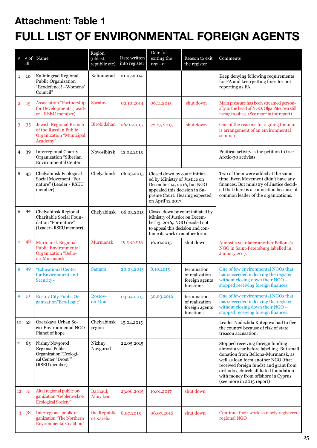### **Attachment: Table 1 FULL LIST OF ENVIRONMENTAL FOREIGN AGENTS**

| $\#$           | # of<br>all | Name                                                                                                        | Region<br>(oblast,<br>republic etc) | Date written<br>into register | Date for<br>exiting the<br>register                                                                                                                                                | Reason to exit<br>the register                               | Comments                                                                                                                                                                                                                                                                                                           |
|----------------|-------------|-------------------------------------------------------------------------------------------------------------|-------------------------------------|-------------------------------|------------------------------------------------------------------------------------------------------------------------------------------------------------------------------------|--------------------------------------------------------------|--------------------------------------------------------------------------------------------------------------------------------------------------------------------------------------------------------------------------------------------------------------------------------------------------------------------|
| $\mathbf{1}$   | 10          | Kaliningrad Regional<br>Public Organization<br>"Ecodefence! - Womens'<br>Council"                           | Kaliningrad                         | 21.07.2014                    |                                                                                                                                                                                    |                                                              | Keep denying following requirements<br>for FA and keep getting fines for not<br>reporting as FA.                                                                                                                                                                                                                   |
| $\overline{2}$ | 15          | <b>Association "Partnership</b><br>for Development" (Lead-<br>er - RSEU member)                             | <b>Saratov</b>                      | 02.10.2014                    | 06.11.2015                                                                                                                                                                         | shut down                                                    | Main pressure has been streamed person-<br>ally to the head of NGO, Olga Pitsuova still<br>facing troubles. (See more in the report)                                                                                                                                                                               |
| 3              | 35          | <b>Jewish Regional Branch</b><br>of the Russian Public<br><b>Organization "Municipal</b><br>Academy"        | Birobidzhan                         | 26.01.2015                    | 22.05.2015                                                                                                                                                                         | shut down                                                    | One of the reasons for signing them in<br>is arrangement of an environmental<br>seminar.                                                                                                                                                                                                                           |
| 4              | 39          | <b>Interregional Charity</b><br>Organization "Siberian<br><b>Environmental Center"</b>                      | Novosibirsk                         | 12.02.2015                    |                                                                                                                                                                                    |                                                              | Political activity is the petition to free<br>Arctic-30 activists.                                                                                                                                                                                                                                                 |
| 5              | 43          | Chelyabinsk Ecological<br>Social Movement "For<br>nature" (Leader - RSEU<br>member)                         | Chelyabinsk                         | 06.03.2015                    | Closed down by court initiat-<br>ed by Ministry of Justice on<br>December'14, 2016, but NGO<br>appealed this decision in Su-<br>preme Court. Hearing expected<br>on April'12 2017. |                                                              | Two of them were added at the same<br>time. Even Movement didn't have any<br>finances. But ministry of Justice decid-<br>ed that there is a connection because of<br>common leader of the organizations.                                                                                                           |
| 6              | 44          | Chelyabinsk Regional<br>Charitable Social Foun-<br>dation "For nature"<br>(Leader - RSEU member)            | Chelyabinsk                         | 06.03.2015                    | Closed down by court initiated by<br>Ministry of Justice on Decem-<br>ber'13, 2016,. NGO decided not<br>to appeal this decision and con-<br>tinue its work in another form.        |                                                              |                                                                                                                                                                                                                                                                                                                    |
| 7              | 48          | <b>Murmansk Regional</b><br><b>Public Environmental</b><br><b>Organization "Bello-</b><br>na-Murmansk"      | Murmansk                            | 19.03.2015                    | 16.10.2015                                                                                                                                                                         | shut down                                                    | Almost a year later another Bellona's<br>NGO in Saint-Petersburg labelled in<br>January'2017.                                                                                                                                                                                                                      |
| 8              | 49          | "Educational Center<br>for Environment and<br><b>Security</b> »                                             | Samara                              | 20.03.2015                    | 8.10.2015                                                                                                                                                                          | termination<br>of realization<br>foreign agents<br>functions | One of few environmental NGOs that<br>has succeeded in leaving the register<br>without closing down their NGO -<br>stopped receiving foreign finances.                                                                                                                                                             |
| 9              | 51          | <b>Rostov City Public Or-</b><br>ganization"Eco-Logic"                                                      | Rostov-<br>on-Don                   | 03.04.2015                    | 30.03.2016                                                                                                                                                                         | termination<br>of realization<br>foreign agents<br>functions | One of few environmental NGOs that<br>has succeeded in leaving the register<br>without closing down their NGO -<br>stopped receiving foreign finances.                                                                                                                                                             |
| 10             | 53          | Ozerskaya Urban So-<br>cio-Environmental NGO<br>Planet of hope                                              | Chelyabinsk<br>region               | 15.04.2015                    |                                                                                                                                                                                    |                                                              | Leader Nadezhda Kutepova had to flee<br>the country because of risk of state<br>treason accusation.                                                                                                                                                                                                                |
| 11             | 65          | Nizhny Novgorod<br><b>Regional Public</b><br>Organization "Ecologi-<br>cal Center "Dront""<br>(RSEU member) | Nizhny<br>Novgorod                  | 22.05.2015                    |                                                                                                                                                                                    |                                                              | Stopped receiving foreign funding<br>almost a year before labelling. But small<br>donation from Bellona-Murmansk, as<br>well as loan form another NGO (that<br>received foreign funds) and grant from<br>orthodox church affiliated foundation<br>with money from offshore in Cyprus.<br>(see more in 2015 report) |
| 12             | 75          | Altai regional public or-<br>ganization "Geblerovskoe<br><b>Ecological Society"</b>                         | Barnaul,<br>Altay krai              | 23.06.2015                    | 19.01.2017                                                                                                                                                                         | shut down                                                    |                                                                                                                                                                                                                                                                                                                    |
| 13             | 78          | Interregional public or-<br>ganization "The Northern<br><b>Environmental Coalition"</b>                     | the Republic<br>of Karelia          | 8.07.2015                     | 08.07.2016                                                                                                                                                                         | shut down                                                    | Continue their work as newly registered<br>regional NGO                                                                                                                                                                                                                                                            |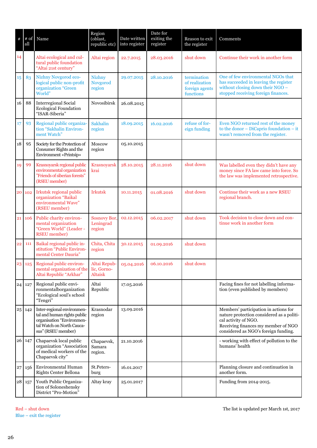| $\#$       | all | $\#$ of Name                                                                                                                              | Region<br>(oblast,<br>republic etc)       | Date written<br>into register | Date for<br>exiting the<br>register | Reason to exit<br>the register                               | Comments                                                                                                                                                                                  |
|------------|-----|-------------------------------------------------------------------------------------------------------------------------------------------|-------------------------------------------|-------------------------------|-------------------------------------|--------------------------------------------------------------|-------------------------------------------------------------------------------------------------------------------------------------------------------------------------------------------|
| 14         |     | Altai ecological and cul-<br>tural public foundation<br>"Altai 21st century"                                                              | Altai region                              | 22.7.2015                     | 28.03.2016                          | shut down                                                    | Continue their work in another form                                                                                                                                                       |
| 15         | 83  | Nizhny Novgorod eco-<br>logical public non-profit<br>organization "Green<br>World"                                                        | <b>Nizhny</b><br>Novgorod<br>region       | 29.07.2015                    | 28.10.2016                          | termination<br>of realization<br>foreign agents<br>functions | One of few environmental NGOs that<br>has succeeded in leaving the register<br>without closing down their NGO -<br>stopped receiving foreign finances.                                    |
| 16         | 88  | <b>Interregional Social</b><br><b>Ecological Foundation</b><br>"ISAR-Siberia"                                                             | Novosibirsk                               | 26.08.2015                    |                                     |                                                              |                                                                                                                                                                                           |
| 17         | 93  | Regional public organiza-<br>tion "Sakhalin Environ-<br>ment Watch"                                                                       | Sakhalin<br>region                        | 18.09.2015                    | 16.02.2016                          | refuse of for-<br>eign funding                               | Even NGO returned rest of the money<br>to the donor $-$ DiCaprio foundation $-$ it<br>wasn't removed from the register.                                                                   |
| 18         | 95  | Society for the Protection of<br>Consumer Rights and the<br>Environment «Printsip»                                                        | Moscow<br>region                          | 05.10.2015                    |                                     |                                                              |                                                                                                                                                                                           |
| 19         | 99  | Krasnoyarsk regional public<br>environmental organization<br>"Friends of siberian forests"<br>(RSEU member)                               | Krasnoyarsk<br>krai                       | 28.10.2015                    | 28.11.2016                          | shut down                                                    | Was labelled even they didn't have any<br>money since FA law came into force. So<br>the law was implemented retrospective.                                                                |
| 20         | 102 | Irkutsk regional public<br>organization "Baikal<br>environmental Wave"<br>(RSEU member)                                                   | <b>Irkutsk</b>                            | 10.11.2015                    | 01.08.2016                          | shut down                                                    | Continue their work as a new RSEU<br>regional branch.                                                                                                                                     |
| 21         | 106 | Public charity environ-<br>mental organization<br>"Green World" (Leader -<br><b>RSEU</b> member)                                          | <b>Sosnovy Bor</b><br>Leningrad<br>region | 02.12.2015                    | 06.02.2017                          | shut down                                                    | Took decision to close down and con-<br>tinue work in another form                                                                                                                        |
| 22         | 111 | Baikal regional public in-<br>stitution "Public Environ-<br>mental Center Dauria"                                                         | Chita, Chita<br>region                    | 30.12.2015                    | 01.09.2016                          | shut down                                                    |                                                                                                                                                                                           |
| 23         | 125 | Regional public environ-<br>mental organization of the lic, Gorno-<br>Altai Republic "Arkhar"                                             | Altai Repub-<br>Altaisk                   | 05.04.2016                    | 06.10.2016                          | shut down                                                    |                                                                                                                                                                                           |
| 24         | 127 | Regional public envi-<br>ronmentalborganization<br>"Ecological soul's school<br>"Tengri"                                                  | Altai<br>Republic                         | 17.05.2016                    |                                     |                                                              | Facing fines for not labelling informa-<br>tion (even published by members)                                                                                                               |
| 25         | 142 | Inter-regional environmen-<br>tal and human rights public<br>organisation "Environmen-<br>tal Watch on North Cauca-<br>sus" (RSEU member) | Krasnodar<br>region                       | 13.09.2016                    |                                     |                                                              | Members' participation in actions for<br>nature protection considered as a politi-<br>cal activity of NGO.<br>Receiving finances my member of NGO<br>considered as NGO's foreign funding. |
| 26         | 147 | Chapaevsk local public<br>organization "Association<br>of medical workers of the<br>Chapaevsk city"                                       | Chapaevsk,<br>Samara<br>region.           | 21.10.2016                    |                                     |                                                              | - working with effect of pollution to the<br>humans' health                                                                                                                               |
| 27         | 156 | Environmental Human<br>Rights Center Bellona                                                                                              | St.Peters-<br>burg                        | 16.01.2017                    |                                     |                                                              | Planning closure and continuation in<br>another form.                                                                                                                                     |
| ${\bf 28}$ | 157 | Youth Public Organiza-<br>tion of Soloneshensky<br>District "Pro-Motion"                                                                  | Altay kray                                | 25.01.2017                    |                                     |                                                              | Funding from 2014-2015.                                                                                                                                                                   |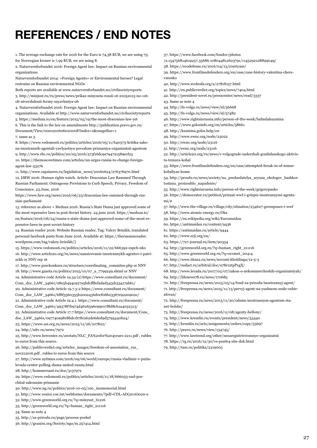### **REFERENCES / END NOTES**

1. The average exchange rate for 2016 for the Euro is 74,38 RUB, we are using 75; for Norwegian kroner is 7,99 RUB, we are using 8.

2. Naturvernforbundet 2016: Foreign Agent law: Impact on Russian environmental organizations

Naturvernforbundet 2014: «Foreign Agents» or Environmental heroes? Legal restrains on Russian environmental NGOs

Both reports are available at www.naturvernforbundet.no/civilsocietyreports

3. http://minjust.ru/ru/press/news/prikaz-minyusta-rossii-ot-21052015-no-116 ob-utverzhdenii-formy-zayavleniya-ob

4. Naturvernforbundet 2016: Foreign Agent law: Impact on Russian environmental organizations. Available at http://www.naturvernforbundet.no/civilsocietyreports 5. https://meduza.io/en/feature/2015/05/19/the-most-draconian-law-yet

6. This is the link to the law on amendments http://publication.pravo.gov.ru/ Document/View/0001201606020008?index=2&rangeSize=1

7. same as 3.

8. https://www.vedomosti.ru/politics/articles/2016/05/11/640573-kritika-zakona-inostrannih-agentah-yavlyaetsya-povodom-priznaniya-organizatsii-agentom 9. http://www.rbc.ru/politics/20/05/2016/573f16dc9a794721589ecf25 10. https://themoscowtimes.com/articles/un-urges-russia-to-change-foreignagent-law-53276

11. http://www.rapsinews.ru/legislation\_news/20160624/276376970.html 12. HRW 2016: Human rights watch. Article: Draconian Law Rammed Through Russian Parliament. Outrageous Provisions to Curb Speech, Privacy, Freedom of Conscience. 23.June, 2016

https://www.hrw.org/news/2016/06/23/draconian-law-rammed-through-russian-parliament

13. reference as above + Meduza 2016: Russia's State Duma just approved some of the most repressive laws in post-Soviet history. 24.june 2016. https://meduza.io/ en/feature/2016/06/24/russia-s-state-duma-just-approved-some-of-the-most-repressive-laws-in-post-soviet-history

14. Russian reader 2016: Website Russian reader, Tag: Valery Brinikh, translated personal facebook posts from June 2016. Available at: https://therussianreader. wordpress.com/tag/valery-brinikh/]

15. https://www.vedomosti.ru/politics/articles/2016/11/22/666392-espch-nko 16. http://www.article20.org/ru/news/nansirovanie-inostrannykh-agentov-i-patriarkh or NNV rep 16

17. http://www.pravkonkurs.ru/structure/coordinating\_commitee.php or NNV 18. http://www.gazeta.ru/politics/2015/10/07\_a\_7799249.shtml or NNV 19. Administrative code Article 19.34 (2) https://www.consultant.ru/document/ Cons\_doc\_LAW\_34661/08e5b494c927a5bdcff8cfadad343d153417ab61/ 20. Administrative code Article 19.7.5-2 https://www.consultant.ru/document/ Cons\_doc\_LAW\_34661/6f8f3560355b2002436d0cf06b23367e9220902c/ 21. Administrative code Article 19.4.1. https://www.consultant.ru/document/ Cons\_doc\_LAW\_34661/49378f7b974d4626596c99e07f8d8cb1a4032313/ 22. Administrative code Article 17.7 https://www.consultant.ru/document/Cons\_ doc\_LAW\_34661/097740a9818bdc1b78ca62de6ded9d3795440b24/ 23. https://www.asi.org.ru/news/2015/11/26/107822/

24. http://uitv.ru/news/7972

25. http://www.hrrcenter.ru/awstats/NLC\_FA%20for%204years-2211.pdf , rubles to euros from this source.

26. http://publicverdict.org/articles\_images/freedom-of-assosiation\_rus\_

nov212016.pdf , rubles to euros from this source

27. http://www.nytimes.com/2016/09/06/world/europe/russia-vladimir-v-putinlevada-center-polling-duma-united-russia.html

28. http://kommersant.ru/doc/3137972

29. https://www.vedomosti.ru/politics/articles/2016/11/18/666053-sud-poschital-zakonnim-priznanie

30. http://www.ng.ru/politics/2016-10-05/100\_inomemorial.html

31. http://www.venice.coe.int/webforms/documents/?pdf=CDL-AD(2016)020-e

32. http://www.greenworld.org.ru/?q=minyust\_61216

33. http://greenworld.org.ru/?q=human\_right\_211116

34. Same as note 4

35. http://za-prirodu.ru/page/process-poshel

36. http://graniru.org/Society/ngo/m.257414.html

37. https://www.facebook.com/fondov/photos

/a.154756814619257.35686.108044812623791/1145292128899049/

38. https://ecodefense.ru/2016/04/13/courtcase/

39. https://www.frontlinedefenders.org/en/case/case-history-valentina-cherevatenko

40. http://www.svoboda.org/a/27818157.html

41. http://en.publicverdict.org/topics/news/7404.html

42. http://president-sovet.ru/presscenter/news/read/3337

43. Same as note 4

44. http://fn-volga.ru/news/view/id/56668

45. http://fn-volga.ru/news/view/id/57482

46. http://www.rightsinrussia.info/person-of-the-week/ludmilakuzmina

47. https://www.golosinfo.org/en/articles/58661

48. http://kuzmina.golos.help/en

49. http://www.ewnc.org/node/23022

50. http://ewnc.org/node/23116

51. http://ewnc.org/node/23116

52. http://article20.org/ru/news/v-volgograde-zaderzhali-grazhdanskogo-aktivista-temura-kobal

53. https://www.frontlinedefenders.org/en/case/attempted-break-in-of-temurkobaliyas-home

54. http://proufu.ru/news/society/na\_predsedatelya\_soyuza\_ekologov\_bashkortostana\_proizoshlo\_napadenie/

55. http://www.rightsinrussia.info/person-of-the-week/grigorypasko

56. https://democrator.ru/petition/priznat-wwf-i-grinpis-inostrannymi-agentami/#

57. http://www.the-village.ru/village/city/situation/234627-greenpeace-i-wwf 58. http://www.atomic-energy.ru/Oka

59. https://en.wikipedia.org/wiki/Euromaidan

60. https://antimaidan.ru/content/9436

61. https://antimaidan.ru/article/9444

62. http://www.srji.org/en/

63. https://7x7-journal.ru/item/90354

64. http://greenworld.org.ru/?q=human\_right\_211116

65. http://www.greenworld.org.ru/?q=ecomet\_20414

66. http://www.titan2.ru/news/novosti-kholdinga/12-5-3

67. http://sudact.ru/arbitral/doc/a78r12tpPxgX/

68. http://www.levada.ru/2017/02/07/zakon-o-nekommercheskih-organizatsiyah/

69. http://lifenews78.ru/news/170685

70. http://freepressa.ru/news/2015/05/14/fond-za-prirodu-inostrannyj-agent/

71. http://freepressa.ru/news/2015/11/13/pervyj-agent-na-yuzhnom-urale-oshtrafovan/

72. http://freepressa.ru/news/2015/11/20/odnim-inostrannym-agentom-stanet-bolshe/

73. http://freepressa.ru/news/2016/11/08/agenty-bellony/

74. http://www.kremlin.ru/events/president/news/53440

75. http://kremlin.ru/acts/assignments/orders/copy/53697

76. http://pravo.ru/news/view/134745/

77. http://www.lawtrend.org/other/nezaregistrirovannye-organizatsii

78. https://rg.ru/2016/12/30/vs-post64-site-dok.html

79. http://tass.ru/politika/2319005